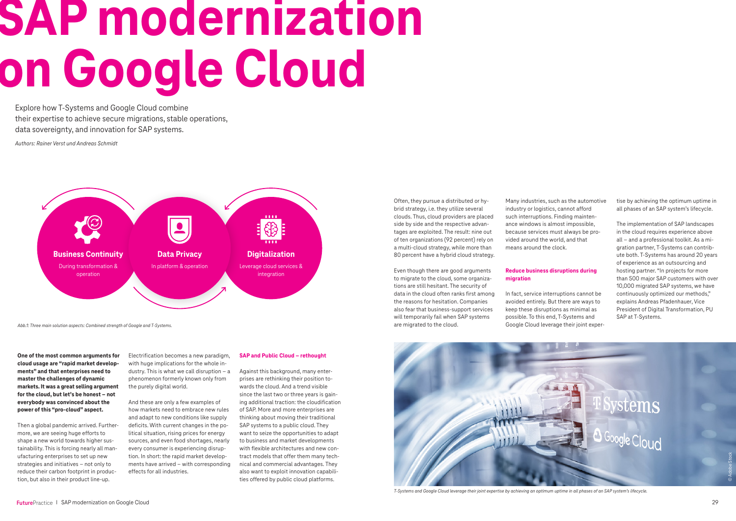Explore how T-Systems and Google Cloud combine their expertise to achieve secure migrations, stable operations, data sovereignty, and innovation for SAP systems.



**One of the most common arguments for cloud usage are "rapid market developments" and that enterprises need to master the challenges of dynamic markets. It was a great selling argument for the cloud, but let's be honest – not everybody was convinced about the power of this "pro-cloud" aspect.**

Then a global pandemic arrived. Furthermore, we are seeing huge efforts to shape a new world towards higher sustainability. This is forcing nearly all manufacturing enterprises to set up new strategies and initiatives – not only to reduce their carbon footprint in production, but also in their product line-up.

Electrification becomes a new paradigm, with huge implications for the whole industry. This is what we call disruption – a phenomenon formerly known only from the purely digital world.

And these are only a few examples of how markets need to embrace new rules and adapt to new conditions like supply deficits. With current changes in the political situation, rising prices for energy sources, and even food shortages, nearly every consumer is experiencing disruption. In short: the rapid market developments have arrived – with corresponding effects for all industries.

# **SAP and Public Cloud – rethought**

Against this background, many enterprises are rethinking their position towards the cloud. And a trend visible since the last two or three years is gaining additional traction: the cloudification of SAP. More and more enterprises are thinking about moving their traditional SAP systems to a public cloud. They want to seize the opportunities to adapt to business and market developments with flexible architectures and new contract models that offer them many technical and commercial advantages. They also want to exploit innovation capabilities offered by public cloud platforms.

# **SAP modernization on Google Cloud**

Often, they pursue a distributed or hybrid strategy, i.e. they utilize several clouds. Thus, cloud providers are placed side by side and the respective advantages are exploited. The result: nine out of ten organizations (92 percent) rely on a multi-cloud strategy, while more than 80 percent have a hybrid cloud strategy.

Even though there are good arguments to migrate to the cloud, some organizations are still hesitant. The security of data in the cloud often ranks first among the reasons for hesitation. Companies also fear that business-support services will temporarily fail when SAP systems are migrated to the cloud.

Many industries, such as the automotive industry or logistics, cannot afford such interruptions. Finding maintenance windows is almost impossible, because services must always be provided around the world, and that means around the clock.

# **Reduce business disruptions during migration**

In fact, service interruptions cannot be avoided entirely. But there are ways to keep these disruptions as minimal as possible. To this end, T-Systems and Google Cloud leverage their joint expertise by achieving the optimum uptime in all phases of an SAP system's lifecycle.

The implementation of SAP landscapes in the cloud requires experience above all – and a professional toolkit. As a migration partner, T-Systems can contribute both. T-Systems has around 20 years of experience as an outsourcing and hosting partner. "In projects for more than 500 major SAP customers with over 10,000 migrated SAP systems, we have continuously optimized our methods," explains Andreas Pfadenhauer, Vice President of Digital Transformation, PU SAP at T-Systems.

*Abb.1: Three main solution aspects: Combined strength of Google and T-Systems.* 

*Authors: Rainer Verst und Andreas Schmidt*



*T-Systems and Google Cloud leverage their joint expertise by achieving an optimum uptime in all phases of an SAP system's lifecycle.*